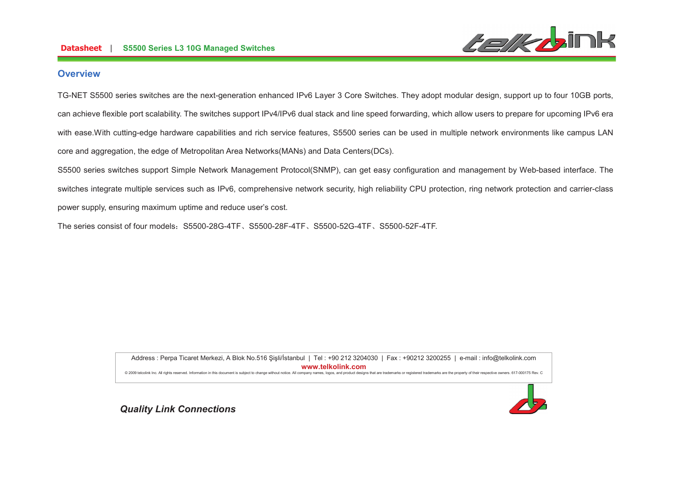

### **Overview**

TG-NET S5500 series switches are the next-generation enhanced IPv6 Layer 3 Core Switches. They adopt modular design, support up to four 10GB ports, can achieve flexible port scalability. The switches support IPv4/IPv6 dual stack and line speed forwarding, which allow users to prepare for upcoming IPv6 era with ease. With cutting-edge hardware capabilities and rich service features, S5500 series can be used in multiple network environments like campus LAN core and aggregation, the edge of Metropolitan Area Networks(MANs) and Data Centers(DCs).

S5500 series switches support Simple Network Management Protocol(SNMP), can get easy configuration and management by Web-based interface. The switches integrate multiple services such as IPv6, comprehensive network security, high reliability CPU protection, ring network protection and carrier-class power supply, ensuring maximum uptime and reduce user's cost.

The series consist of four models: S5500-28G-4TF, S5500-28F-4TF, S5500-52G-4TF, S5500-52F-4TF.

Address : Perpa Ticaret Merkezi, A Blok No.516 Şişli/İstanbul | Tel : +90 212 3204030 | Fax : +90212 3200255 | e-mail : info@telkolink.com  $www.telkolink.com$ @ 2009 telcolink Inc. All rights reserved. Information in this document is subject to change without notice. All company names, logos, and product designs that are trademarks or registered trademarks are the property of th

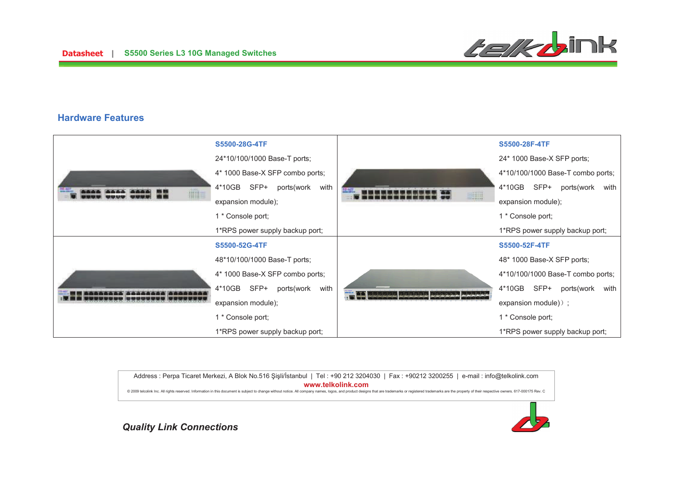

### **Hardware Features**



Address : Perpa Ticaret Merkezi, A Blok No.516 Şişli/İstanbul | Tel : +90 212 3204030 | Fax : +90212 3200255 | e-mail : info@telkolink.com  $www.telkolink.com$ @ 2009 telcolink Inc. All rights reserved. Information in this document is subject to change without notice. All company names, logos, and product designs that are trademarks or registered trademarks are the property of th

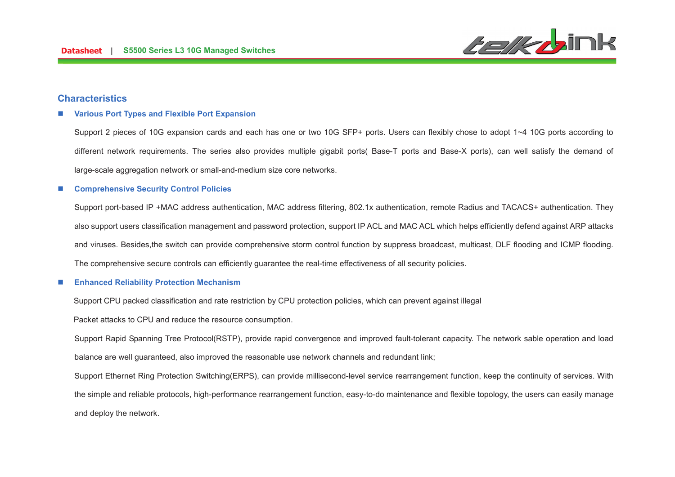

### **Characteristics**

#### n**Various Port Types and Flexible Port Expansion**

Support 2 pieces of 10G expansion cards and each has one or two 10G SFP+ ports. Users can flexibly chose to adopt 1~4 10G ports according to different network requirements. The series also provides multiple gigabit ports( Base-T ports and Base-X ports), can well satisfy the demand of large-scale aggregation network or small-and-medium size core networks.

#### n**Comprehensive Security Control Policies**

Support port-based IP +MAC address authentication, MAC address filtering, 802.1x authentication, remote Radius and TACACS+ authentication. They also support users classification management and password protection, support IP ACL and MAC ACL which helps efficiently defend against ARP attacks and viruses. Besides,the switch can provide comprehensive storm control function by suppress broadcast, multicast, DLF flooding and ICMP flooding. The comprehensive secure controls can efficiently guarantee the real-time effectiveness of all security policies.

#### n**Enhanced Reliability Protection Mechanism**

Support CPU packed classification and rate restriction by CPU protection policies, which can prevent against illegal

Packet attacks to CPU and reduce the resource consumption.

Support Rapid Spanning Tree Protocol(RSTP), provide rapid convergence and improved fault-tolerant capacity. The network sable operation and load balance are well guaranteed, also improved the reasonable use network channels and redundant link;

Support Ethernet Ring Protection Switching(ERPS), can provide millisecond-level service rearrangement function, keep the continuity of services. With the simple and reliable protocols, high-performance rearrangement function, easy-to-do maintenance and flexible topology, the users can easily manage and deploy the network.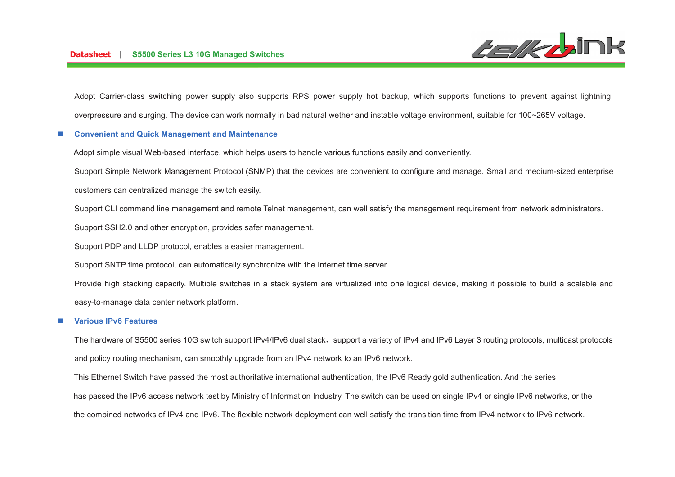

Adopt Carrier-class switching power supply also supports RPS power supply hot backup, which supports functions to prevent against lightning, overpressure and surging. The device can work normally in bad natural wether and instable voltage environment, suitable for 100~265V voltage.

#### n**Convenient and Quick Management and Maintenance**

Adopt simple visual Web-based interface, which helps users to handle various functions easily and conveniently.

Support Simple Network Management Protocol (SNMP) that the devices are convenient to configure and manage. Small and medium-sized enterprise

customers can centralized manage the switch easily.

Support CLI command line management and remote Telnet management, can well satisfy the management requirement from network administrators.

Support SSH2.0 and other encryption, provides safer management.

Support PDP and LLDP protocol, enables a easier management.

Support SNTP time protocol, can automatically synchronize with the Internet time server.

Provide high stacking capacity. Multiple switches in a stack system are virtualized into one logical device, making it possible to build a scalable and easy-to-manage data center network platform.

#### n**Various IPv6 Features**

The hardware of S5500 series 10G switch support IPv4/IPv6 dual stack, support a variety of IPv4 and IPv6 Layer 3 routing protocols, multicast protocols and policy routing mechanism, can smoothly upgrade from an IPv4 network to an IPv6 network.

This Ethernet Switch have passed the most authoritative international authentication, the IPv6 Ready gold authentication. And the series

has passed the IPv6 access network test by Ministry of Information Industry. The switch can be used on single IPv4 or single IPv6 networks, or the

the combined networks of IPv4 and IPv6. The flexible network deployment can well satisfy the transition time from IPv4 network to IPv6 network.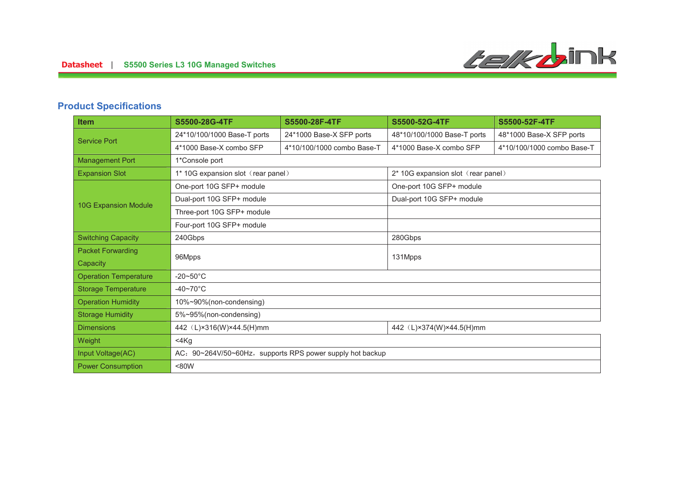# **Product Specifications**

| <b>Item</b>                  | S5500-28G-4TF                                             | S5500-28F-4TF              | S5500-52G-4TF                      | S5500-52F-4TF              |
|------------------------------|-----------------------------------------------------------|----------------------------|------------------------------------|----------------------------|
| <b>Service Port</b>          | 24*10/100/1000 Base-T ports                               | 24*1000 Base-X SFP ports   | 48*10/100/1000 Base-T ports        | 48*1000 Base-X SFP ports   |
|                              | 4*1000 Base-X combo SFP                                   | 4*10/100/1000 combo Base-T | 4*1000 Base-X combo SFP            | 4*10/100/1000 combo Base-T |
| <b>Management Port</b>       | 1*Console port                                            |                            |                                    |                            |
| <b>Expansion Slot</b>        | 1* 10G expansion slot (rear panel)                        |                            | 2* 10G expansion slot (rear panel) |                            |
| <b>10G Expansion Module</b>  | One-port 10G SFP+ module                                  |                            | One-port 10G SFP+ module           |                            |
|                              | Dual-port 10G SFP+ module                                 |                            | Dual-port 10G SFP+ module          |                            |
|                              | Three-port 10G SFP+ module                                |                            |                                    |                            |
|                              | Four-port 10G SFP+ module                                 |                            |                                    |                            |
| <b>Switching Capacity</b>    | 240Gbps                                                   |                            | 280Gbps                            |                            |
| <b>Packet Forwarding</b>     | 96Mpps                                                    |                            | 131Mpps                            |                            |
| Capacity                     |                                                           |                            |                                    |                            |
| <b>Operation Temperature</b> | $-20\nthicksim50^{\circ}C$                                |                            |                                    |                            |
| <b>Storage Temperature</b>   | $-40 \sim 70$ °C                                          |                            |                                    |                            |
| <b>Operation Humidity</b>    | 10%~90%(non-condensing)                                   |                            |                                    |                            |
| <b>Storage Humidity</b>      | 5%~95%(non-condensing)                                    |                            |                                    |                            |
| <b>Dimensions</b>            | 442 (L)×316(W)×44.5(H)mm                                  |                            | 442 (L)×374(W)×44.5(H)mm           |                            |
| Weight                       | 4Kg                                                       |                            |                                    |                            |
| Input Voltage(AC)            | AC: 90~264V/50~60Hz, supports RPS power supply hot backup |                            |                                    |                            |
| <b>Power Consumption</b>     | <80W                                                      |                            |                                    |                            |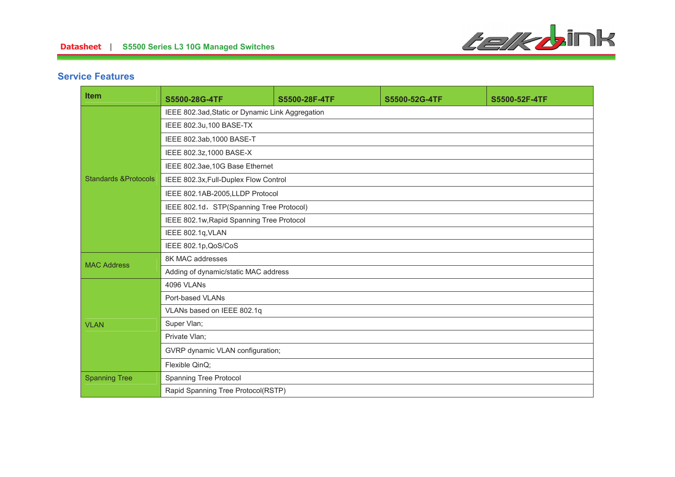

## **Service Features**

| <b>Item</b>                     | S5500-28G-4TF                                    | S5500-28F-4TF | S5500-52G-4TF | S5500-52F-4TF |  |
|---------------------------------|--------------------------------------------------|---------------|---------------|---------------|--|
|                                 | IEEE 802.3ad, Static or Dynamic Link Aggregation |               |               |               |  |
| <b>Standards &amp;Protocols</b> | IEEE 802.3u, 100 BASE-TX                         |               |               |               |  |
|                                 | IEEE 802.3ab, 1000 BASE-T                        |               |               |               |  |
|                                 | IEEE 802.3z, 1000 BASE-X                         |               |               |               |  |
|                                 | IEEE 802.3ae, 10G Base Ethernet                  |               |               |               |  |
|                                 | IEEE 802.3x, Full-Duplex Flow Control            |               |               |               |  |
|                                 | IEEE 802.1AB-2005,LLDP Protocol                  |               |               |               |  |
|                                 | IEEE 802.1d, STP(Spanning Tree Protocol)         |               |               |               |  |
|                                 | IEEE 802.1w, Rapid Spanning Tree Protocol        |               |               |               |  |
|                                 | IEEE 802.1q, VLAN                                |               |               |               |  |
|                                 | IEEE 802.1p, QoS/CoS                             |               |               |               |  |
| <b>MAC Address</b>              | 8K MAC addresses                                 |               |               |               |  |
|                                 | Adding of dynamic/static MAC address             |               |               |               |  |
|                                 | <b>4096 VLANs</b>                                |               |               |               |  |
|                                 | Port-based VLANs                                 |               |               |               |  |
| <b>VLAN</b>                     | VLANs based on IEEE 802.1q                       |               |               |               |  |
|                                 | Super Vlan;                                      |               |               |               |  |
|                                 | Private Vlan;                                    |               |               |               |  |
|                                 | GVRP dynamic VLAN configuration;                 |               |               |               |  |
|                                 | Flexible QinQ;                                   |               |               |               |  |
| <b>Spanning Tree</b>            | Spanning Tree Protocol                           |               |               |               |  |
|                                 | Rapid Spanning Tree Protocol(RSTP)               |               |               |               |  |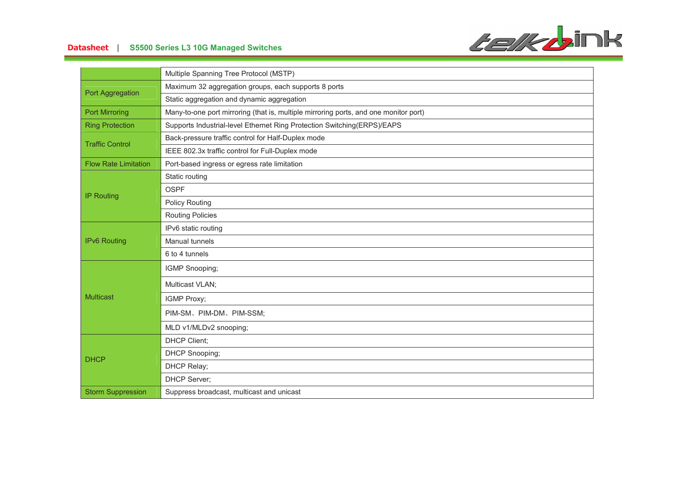

# **-- S5500 Series L3 10G Managed Switches**

|                             | Multiple Spanning Tree Protocol (MSTP)                                               |
|-----------------------------|--------------------------------------------------------------------------------------|
| Port Aggregation            | Maximum 32 aggregation groups, each supports 8 ports                                 |
|                             | Static aggregation and dynamic aggregation                                           |
| <b>Port Mirroring</b>       | Many-to-one port mirroring (that is, multiple mirroring ports, and one monitor port) |
| <b>Ring Protection</b>      | Supports Industrial-level Ethernet Ring Protection Switching(ERPS)/EAPS              |
| <b>Traffic Control</b>      | Back-pressure traffic control for Half-Duplex mode                                   |
|                             | IEEE 802.3x traffic control for Full-Duplex mode                                     |
| <b>Flow Rate Limitation</b> | Port-based ingress or egress rate limitation                                         |
|                             | Static routing                                                                       |
| <b>IP Routing</b>           | <b>OSPF</b>                                                                          |
|                             | <b>Policy Routing</b>                                                                |
|                             | <b>Routing Policies</b>                                                              |
|                             | IPv6 static routing                                                                  |
| <b>IPv6 Routing</b>         | Manual tunnels                                                                       |
|                             | 6 to 4 tunnels                                                                       |
|                             | IGMP Snooping;                                                                       |
| <b>Multicast</b>            | Multicast VLAN;                                                                      |
|                             | IGMP Proxy;                                                                          |
|                             | PIM-SM、PIM-DM、PIM-SSM;                                                               |
|                             | MLD v1/MLDv2 snooping;                                                               |
| <b>DHCP</b>                 | <b>DHCP Client;</b>                                                                  |
|                             | DHCP Snooping;                                                                       |
|                             | DHCP Relay;                                                                          |
|                             | <b>DHCP Server;</b>                                                                  |
| <b>Storm Suppression</b>    | Suppress broadcast, multicast and unicast                                            |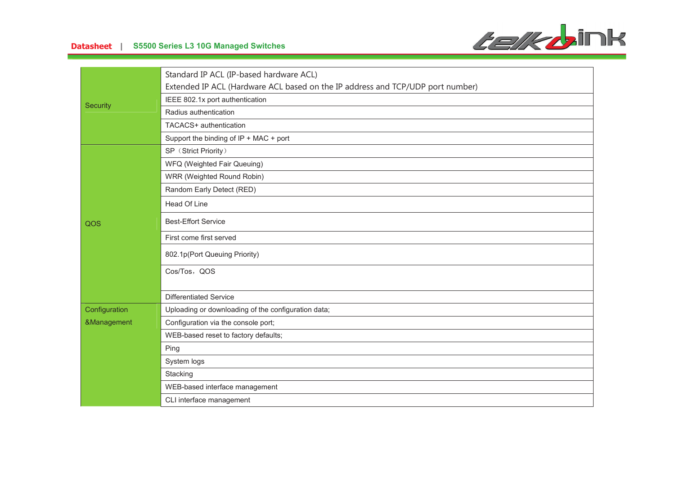



|               | Standard IP ACL (IP-based hardware ACL)                                        |
|---------------|--------------------------------------------------------------------------------|
|               |                                                                                |
|               | Extended IP ACL (Hardware ACL based on the IP address and TCP/UDP port number) |
| Security      | IEEE 802.1x port authentication                                                |
|               | Radius authentication                                                          |
|               | TACACS+ authentication                                                         |
|               | Support the binding of IP + MAC + port                                         |
|               | SP (Strict Priority)                                                           |
|               | WFQ (Weighted Fair Queuing)                                                    |
|               | WRR (Weighted Round Robin)                                                     |
|               | Random Early Detect (RED)                                                      |
|               | Head Of Line                                                                   |
| QOS           | <b>Best-Effort Service</b>                                                     |
|               | First come first served                                                        |
|               | 802.1p(Port Queuing Priority)                                                  |
|               | Cos/Tos, QOS                                                                   |
|               | <b>Differentiated Service</b>                                                  |
|               |                                                                                |
| Configuration | Uploading or downloading of the configuration data;                            |
| &Management   | Configuration via the console port;                                            |
|               | WEB-based reset to factory defaults;                                           |
|               | Ping                                                                           |
|               | System logs                                                                    |
|               | Stacking                                                                       |
|               | WEB-based interface management                                                 |
|               | CLI interface management                                                       |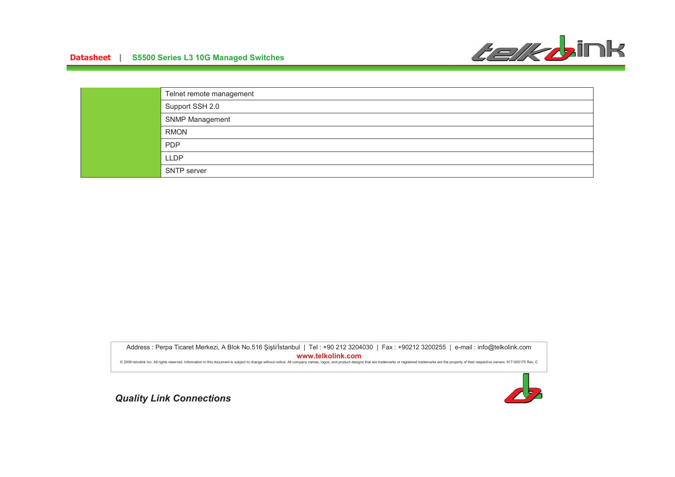

| Telnet remote management |
|--------------------------|
| Support SSH 2.0          |
| <b>SNMP Management</b>   |
| <b>RMON</b>              |
| <b>PDP</b>               |
| <b>LLDP</b>              |
| <b>SNTP</b> server       |

Address : Perpa Ticaret Merkezi, A Blok No.516 Şişli/İstanbul | Tel : +90 212 3204030 | Fax : +90212 3200255 | e-mail : info@telkolink.com  $www.telkolink.com$ @ 2009 telcolink Inc. All rights reserved. Information in this document is subject to change without notice. All company names, logos, and product designs that are trademarks or registered trademarks are the property of th